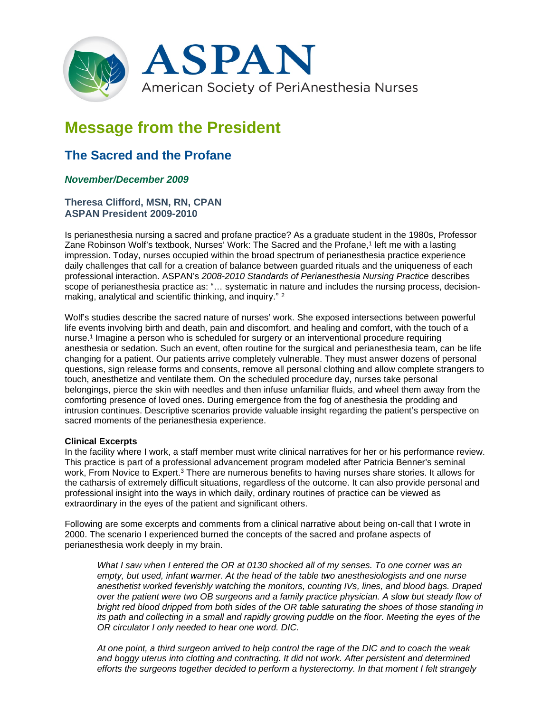

# **Message from the President**

# **The Sacred and the Profane**

## *November/December 2009*

### **Theresa Clifford, MSN, RN, CPAN ASPAN President 2009-2010**

Is perianesthesia nursing a sacred and profane practice? As a graduate student in the 1980s, Professor Zane Robinson Wolf's textbook, Nurses' Work: The Sacred and the Profane,<sup>1</sup> left me with a lasting impression. Today, nurses occupied within the broad spectrum of perianesthesia practice experience daily challenges that call for a creation of balance between guarded rituals and the uniqueness of each professional interaction. ASPAN's *2008-2010 Standards of Perianesthesia Nursing Practice* describes scope of perianesthesia practice as: "… systematic in nature and includes the nursing process, decisionmaking, analytical and scientific thinking, and inquiry." <sup>2</sup>

Wolf's studies describe the sacred nature of nurses' work. She exposed intersections between powerful life events involving birth and death, pain and discomfort, and healing and comfort, with the touch of a nurse.1 Imagine a person who is scheduled for surgery or an interventional procedure requiring anesthesia or sedation. Such an event, often routine for the surgical and perianesthesia team, can be life changing for a patient. Our patients arrive completely vulnerable. They must answer dozens of personal questions, sign release forms and consents, remove all personal clothing and allow complete strangers to touch, anesthetize and ventilate them. On the scheduled procedure day, nurses take personal belongings, pierce the skin with needles and then infuse unfamiliar fluids, and wheel them away from the comforting presence of loved ones. During emergence from the fog of anesthesia the prodding and intrusion continues. Descriptive scenarios provide valuable insight regarding the patient's perspective on sacred moments of the perianesthesia experience.

#### **Clinical Excerpts**

In the facility where I work, a staff member must write clinical narratives for her or his performance review. This practice is part of a professional advancement program modeled after Patricia Benner's seminal work, From Novice to Expert.<sup>3</sup> There are numerous benefits to having nurses share stories. It allows for the catharsis of extremely difficult situations, regardless of the outcome. It can also provide personal and professional insight into the ways in which daily, ordinary routines of practice can be viewed as extraordinary in the eyes of the patient and significant others.

Following are some excerpts and comments from a clinical narrative about being on-call that I wrote in 2000. The scenario I experienced burned the concepts of the sacred and profane aspects of perianesthesia work deeply in my brain.

*What I saw when I entered the OR at 0130 shocked all of my senses. To one corner was an empty, but used, infant warmer. At the head of the table two anesthesiologists and one nurse anesthetist worked feverishly watching the monitors, counting IVs, lines, and blood bags. Draped over the patient were two OB surgeons and a family practice physician. A slow but steady flow of bright red blood dripped from both sides of the OR table saturating the shoes of those standing in its path and collecting in a small and rapidly growing puddle on the floor. Meeting the eyes of the OR circulator I only needed to hear one word. DIC.*

*At one point, a third surgeon arrived to help control the rage of the DIC and to coach the weak*  and boggy uterus into clotting and contracting. It did not work. After persistent and determined *efforts the surgeons together decided to perform a hysterectomy. In that moment I felt strangely*